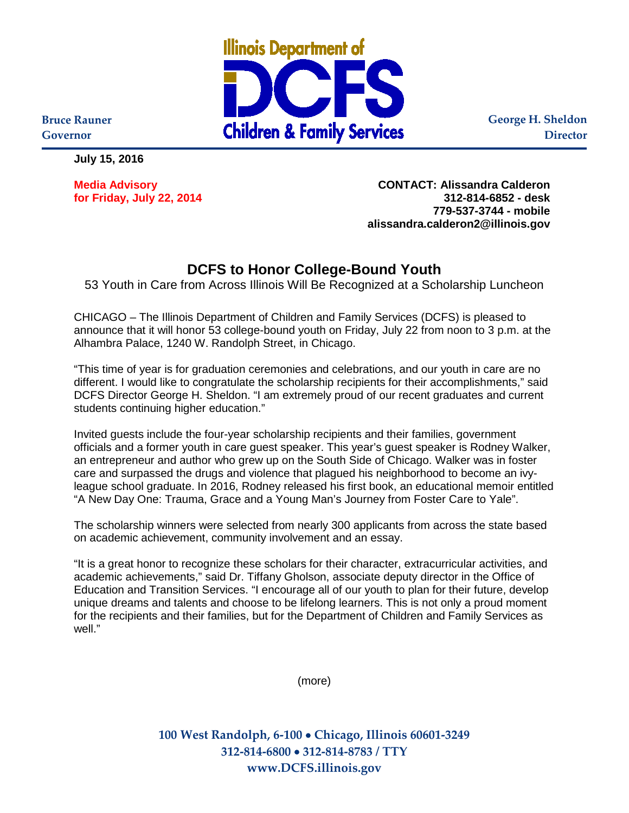

**George H. Sheldon Director**

**Bruce Rauner Governor**

**July 15, 2016**

**for Friday, July 22, 2014 312-814-6852 - desk**

**Media Advisory CONTACT: Alissandra Calderon 779-537-3744 - mobile alissandra.calderon2@illinois.gov**

## **DCFS to Honor College-Bound Youth**

53 Youth in Care from Across Illinois Will Be Recognized at a Scholarship Luncheon

CHICAGO – The Illinois Department of Children and Family Services (DCFS) is pleased to announce that it will honor 53 college-bound youth on Friday, July 22 from noon to 3 p.m. at the Alhambra Palace, 1240 W. Randolph Street, in Chicago.

"This time of year is for graduation ceremonies and celebrations, and our youth in care are no different. I would like to congratulate the scholarship recipients for their accomplishments," said DCFS Director George H. Sheldon. "I am extremely proud of our recent graduates and current students continuing higher education."

Invited guests include the four-year scholarship recipients and their families, government officials and a former youth in care guest speaker. This year's guest speaker is Rodney Walker, an entrepreneur and author who grew up on the South Side of Chicago. Walker was in foster care and surpassed the drugs and violence that plagued his neighborhood to become an ivyleague school graduate. In 2016, Rodney released his first book, an educational memoir entitled "A New Day One: Trauma, Grace and a Young Man's Journey from Foster Care to Yale".

The scholarship winners were selected from nearly 300 applicants from across the state based on academic achievement, community involvement and an essay.

"It is a great honor to recognize these scholars for their character, extracurricular activities, and academic achievements," said Dr. Tiffany Gholson, associate deputy director in the Office of Education and Transition Services. "I encourage all of our youth to plan for their future, develop unique dreams and talents and choose to be lifelong learners. This is not only a proud moment for the recipients and their families, but for the Department of Children and Family Services as well."

(more)

**100 West Randolph, 6-100** • **Chicago, Illinois 60601-3249 312-814-6800** • **312-814-8783 / TTY www.DCFS.illinois.gov**